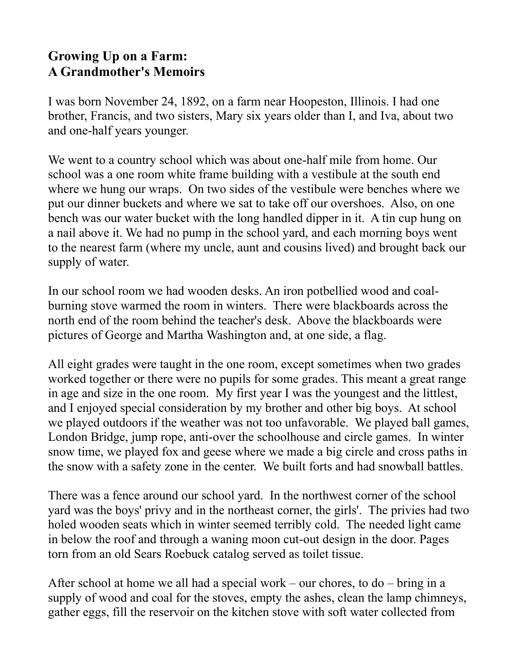## **Growing Up on a Farm: A Grandmother's Memoirs**

I was born November 24, 1892, on a farm near Hoopeston, Illinois. I had one brother, Francis, and two sisters, Mary six years older than I, and Iva, about two and one-half years younger.

We went to a country school which was about one-half mile from home. Our school was a one room white frame building with a vestibule at the south end where we hung our wraps. On two sides of the vestibule were benches where we put our dinner buckets and where we sat to take off our overshoes. Also, on one bench was our water bucket with the long handled dipper in it. A tin cup hung on a nail above it. We had no pump in the school yard, and each morning boys went to the nearest farm (where my uncle, aunt and cousins lived) and brought back our supply of water.

In our school room we had wooden desks. An iron potbellied wood and coalburning stove warmed the room in winters. There were blackboards across the north end of the room behind the teacher's desk. Above the blackboards were pictures of George and Martha Washington and, at one side, a flag.

All eight grades were taught in the one room, except sometimes when two grades worked together or there were no pupils for some grades. This meant a great range in age and size in the one room. My first year I was the youngest and the littlest, and I enjoyed special consideration by my brother and other big boys. At school we played outdoors if the weather was not too unfavorable. We played ball games, London Bridge, jump rope, anti-over the schoolhouse and circle games. In winter snow time, we played fox and geese where we made a big circle and cross paths in the snow with a safety zone in the center. We built forts and had snowball battles.

There was a fence around our school yard. In the northwest corner of the school yard was the boys' privy and in the northeast corner, the girls'. The privies had two holed wooden seats which in winter seemed terribly cold. The needed light came in below the roof and through a waning moon cut-out design in the door. Pages torn from an old Sears Roebuck catalog served as toilet tissue.

After school at home we all had a special work – our chores, to do – bring in a supply of wood and coal for the stoves, empty the ashes, clean the lamp chimneys, gather eggs, fill the reservoir on the kitchen stove with soft water collected from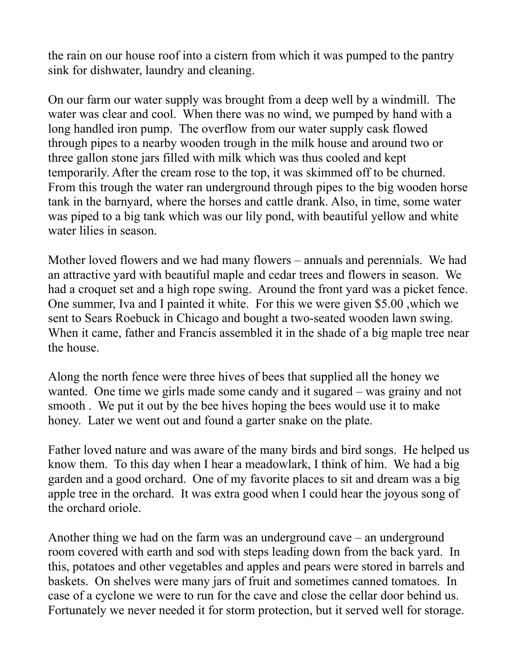the rain on our house roof into a cistern from which it was pumped to the pantry sink for dishwater, laundry and cleaning.

On our farm our water supply was brought from a deep well by a windmill. The water was clear and cool. When there was no wind, we pumped by hand with a long handled iron pump. The overflow from our water supply cask flowed through pipes to a nearby wooden trough in the milk house and around two or three gallon stone jars filled with milk which was thus cooled and kept temporarily. After the cream rose to the top, it was skimmed off to be churned. From this trough the water ran underground through pipes to the big wooden horse tank in the barnyard, where the horses and cattle drank. Also, in time, some water was piped to a big tank which was our lily pond, with beautiful yellow and white water lilies in season.

Mother loved flowers and we had many flowers – annuals and perennials. We had an attractive yard with beautiful maple and cedar trees and flowers in season. We had a croquet set and a high rope swing. Around the front yard was a picket fence. One summer, Iva and I painted it white. For this we were given \$5.00 ,which we sent to Sears Roebuck in Chicago and bought a two-seated wooden lawn swing. When it came, father and Francis assembled it in the shade of a big maple tree near the house.

Along the north fence were three hives of bees that supplied all the honey we wanted. One time we girls made some candy and it sugared – was grainy and not smooth . We put it out by the bee hives hoping the bees would use it to make honey. Later we went out and found a garter snake on the plate.

Father loved nature and was aware of the many birds and bird songs. He helped us know them. To this day when I hear a meadowlark, I think of him. We had a big garden and a good orchard. One of my favorite places to sit and dream was a big apple tree in the orchard. It was extra good when I could hear the joyous song of the orchard oriole.

Another thing we had on the farm was an underground cave – an underground room covered with earth and sod with steps leading down from the back yard. In this, potatoes and other vegetables and apples and pears were stored in barrels and baskets. On shelves were many jars of fruit and sometimes canned tomatoes. In case of a cyclone we were to run for the cave and close the cellar door behind us. Fortunately we never needed it for storm protection, but it served well for storage.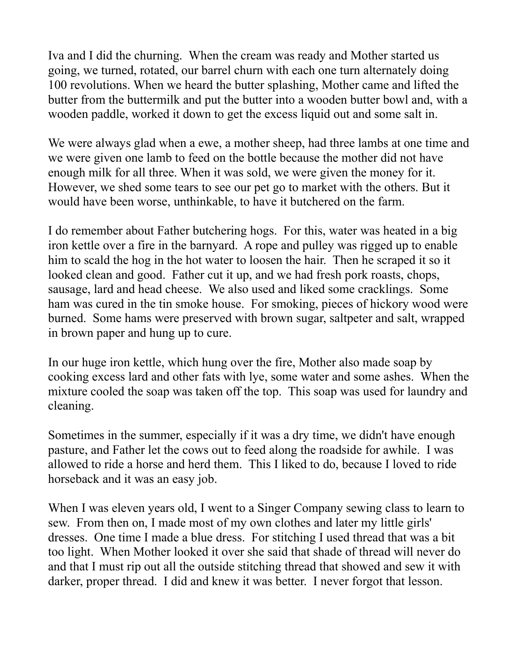Iva and I did the churning. When the cream was ready and Mother started us going, we turned, rotated, our barrel churn with each one turn alternately doing 100 revolutions. When we heard the butter splashing, Mother came and lifted the butter from the buttermilk and put the butter into a wooden butter bowl and, with a wooden paddle, worked it down to get the excess liquid out and some salt in.

We were always glad when a ewe, a mother sheep, had three lambs at one time and we were given one lamb to feed on the bottle because the mother did not have enough milk for all three. When it was sold, we were given the money for it. However, we shed some tears to see our pet go to market with the others. But it would have been worse, unthinkable, to have it butchered on the farm.

I do remember about Father butchering hogs. For this, water was heated in a big iron kettle over a fire in the barnyard. A rope and pulley was rigged up to enable him to scald the hog in the hot water to loosen the hair. Then he scraped it so it looked clean and good. Father cut it up, and we had fresh pork roasts, chops, sausage, lard and head cheese. We also used and liked some cracklings. Some ham was cured in the tin smoke house. For smoking, pieces of hickory wood were burned. Some hams were preserved with brown sugar, saltpeter and salt, wrapped in brown paper and hung up to cure.

In our huge iron kettle, which hung over the fire, Mother also made soap by cooking excess lard and other fats with lye, some water and some ashes. When the mixture cooled the soap was taken off the top. This soap was used for laundry and cleaning.

Sometimes in the summer, especially if it was a dry time, we didn't have enough pasture, and Father let the cows out to feed along the roadside for awhile. I was allowed to ride a horse and herd them. This I liked to do, because I loved to ride horseback and it was an easy job.

When I was eleven years old, I went to a Singer Company sewing class to learn to sew. From then on, I made most of my own clothes and later my little girls' dresses. One time I made a blue dress. For stitching I used thread that was a bit too light. When Mother looked it over she said that shade of thread will never do and that I must rip out all the outside stitching thread that showed and sew it with darker, proper thread. I did and knew it was better. I never forgot that lesson.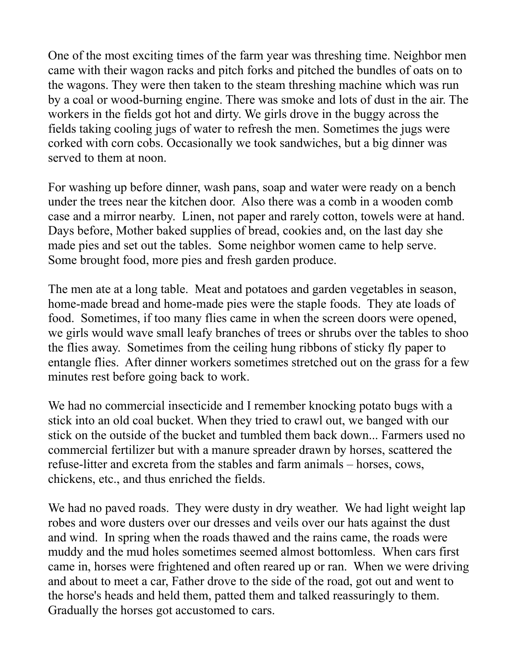One of the most exciting times of the farm year was threshing time. Neighbor men came with their wagon racks and pitch forks and pitched the bundles of oats on to the wagons. They were then taken to the steam threshing machine which was run by a coal or wood-burning engine. There was smoke and lots of dust in the air. The workers in the fields got hot and dirty. We girls drove in the buggy across the fields taking cooling jugs of water to refresh the men. Sometimes the jugs were corked with corn cobs. Occasionally we took sandwiches, but a big dinner was served to them at noon.

For washing up before dinner, wash pans, soap and water were ready on a bench under the trees near the kitchen door. Also there was a comb in a wooden comb case and a mirror nearby. Linen, not paper and rarely cotton, towels were at hand. Days before, Mother baked supplies of bread, cookies and, on the last day she made pies and set out the tables. Some neighbor women came to help serve. Some brought food, more pies and fresh garden produce.

The men ate at a long table. Meat and potatoes and garden vegetables in season, home-made bread and home-made pies were the staple foods. They ate loads of food. Sometimes, if too many flies came in when the screen doors were opened, we girls would wave small leafy branches of trees or shrubs over the tables to shoo the flies away. Sometimes from the ceiling hung ribbons of sticky fly paper to entangle flies. After dinner workers sometimes stretched out on the grass for a few minutes rest before going back to work.

We had no commercial insecticide and I remember knocking potato bugs with a stick into an old coal bucket. When they tried to crawl out, we banged with our stick on the outside of the bucket and tumbled them back down... Farmers used no commercial fertilizer but with a manure spreader drawn by horses, scattered the refuse-litter and excreta from the stables and farm animals – horses, cows, chickens, etc., and thus enriched the fields.

We had no paved roads. They were dusty in dry weather. We had light weight lap robes and wore dusters over our dresses and veils over our hats against the dust and wind. In spring when the roads thawed and the rains came, the roads were muddy and the mud holes sometimes seemed almost bottomless. When cars first came in, horses were frightened and often reared up or ran. When we were driving and about to meet a car, Father drove to the side of the road, got out and went to the horse's heads and held them, patted them and talked reassuringly to them. Gradually the horses got accustomed to cars.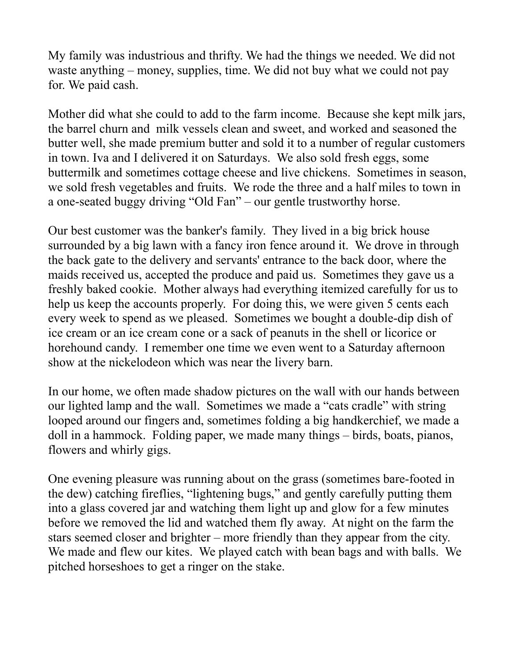My family was industrious and thrifty. We had the things we needed. We did not waste anything – money, supplies, time. We did not buy what we could not pay for. We paid cash.

Mother did what she could to add to the farm income. Because she kept milk jars, the barrel churn and milk vessels clean and sweet, and worked and seasoned the butter well, she made premium butter and sold it to a number of regular customers in town. Iva and I delivered it on Saturdays. We also sold fresh eggs, some buttermilk and sometimes cottage cheese and live chickens. Sometimes in season, we sold fresh vegetables and fruits. We rode the three and a half miles to town in a one-seated buggy driving "Old Fan" – our gentle trustworthy horse.

Our best customer was the banker's family. They lived in a big brick house surrounded by a big lawn with a fancy iron fence around it. We drove in through the back gate to the delivery and servants' entrance to the back door, where the maids received us, accepted the produce and paid us. Sometimes they gave us a freshly baked cookie. Mother always had everything itemized carefully for us to help us keep the accounts properly. For doing this, we were given 5 cents each every week to spend as we pleased. Sometimes we bought a double-dip dish of ice cream or an ice cream cone or a sack of peanuts in the shell or licorice or horehound candy. I remember one time we even went to a Saturday afternoon show at the nickelodeon which was near the livery barn.

In our home, we often made shadow pictures on the wall with our hands between our lighted lamp and the wall. Sometimes we made a "cats cradle" with string looped around our fingers and, sometimes folding a big handkerchief, we made a doll in a hammock. Folding paper, we made many things – birds, boats, pianos, flowers and whirly gigs.

One evening pleasure was running about on the grass (sometimes bare-footed in the dew) catching fireflies, "lightening bugs," and gently carefully putting them into a glass covered jar and watching them light up and glow for a few minutes before we removed the lid and watched them fly away. At night on the farm the stars seemed closer and brighter – more friendly than they appear from the city. We made and flew our kites. We played catch with bean bags and with balls. We pitched horseshoes to get a ringer on the stake.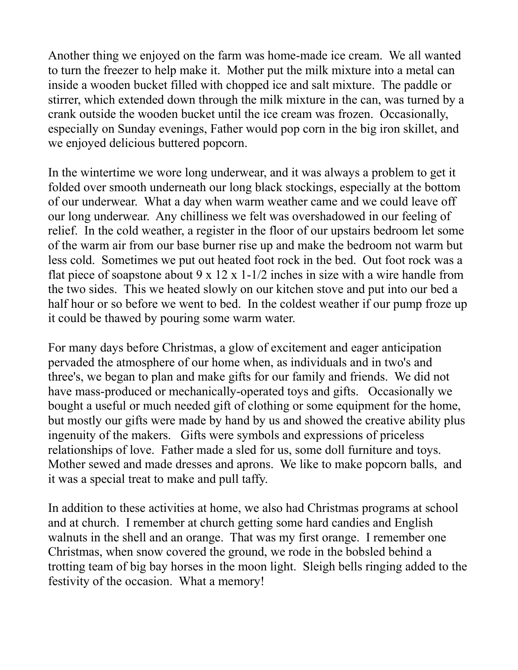Another thing we enjoyed on the farm was home-made ice cream. We all wanted to turn the freezer to help make it. Mother put the milk mixture into a metal can inside a wooden bucket filled with chopped ice and salt mixture. The paddle or stirrer, which extended down through the milk mixture in the can, was turned by a crank outside the wooden bucket until the ice cream was frozen. Occasionally, especially on Sunday evenings, Father would pop corn in the big iron skillet, and we enjoyed delicious buttered popcorn.

In the wintertime we wore long underwear, and it was always a problem to get it folded over smooth underneath our long black stockings, especially at the bottom of our underwear. What a day when warm weather came and we could leave off our long underwear. Any chilliness we felt was overshadowed in our feeling of relief. In the cold weather, a register in the floor of our upstairs bedroom let some of the warm air from our base burner rise up and make the bedroom not warm but less cold. Sometimes we put out heated foot rock in the bed. Out foot rock was a flat piece of soapstone about  $9 \times 12 \times 1$ -1/2 inches in size with a wire handle from the two sides. This we heated slowly on our kitchen stove and put into our bed a half hour or so before we went to bed. In the coldest weather if our pump froze up it could be thawed by pouring some warm water.

For many days before Christmas, a glow of excitement and eager anticipation pervaded the atmosphere of our home when, as individuals and in two's and three's, we began to plan and make gifts for our family and friends. We did not have mass-produced or mechanically-operated toys and gifts. Occasionally we bought a useful or much needed gift of clothing or some equipment for the home, but mostly our gifts were made by hand by us and showed the creative ability plus ingenuity of the makers. Gifts were symbols and expressions of priceless relationships of love. Father made a sled for us, some doll furniture and toys. Mother sewed and made dresses and aprons. We like to make popcorn balls, and it was a special treat to make and pull taffy.

In addition to these activities at home, we also had Christmas programs at school and at church. I remember at church getting some hard candies and English walnuts in the shell and an orange. That was my first orange. I remember one Christmas, when snow covered the ground, we rode in the bobsled behind a trotting team of big bay horses in the moon light. Sleigh bells ringing added to the festivity of the occasion. What a memory!